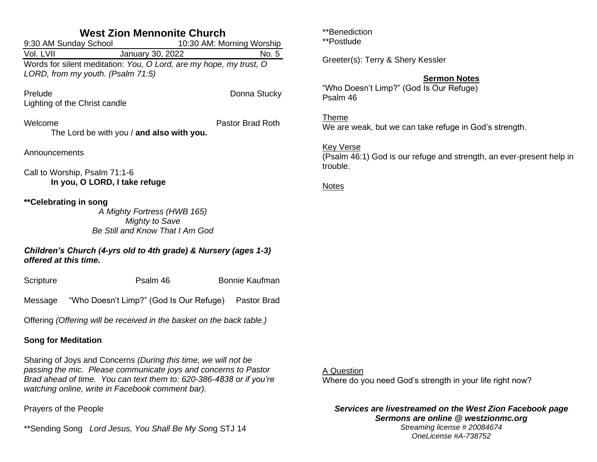| <b>West Zion Mennonite Church</b>                                                        |                                                                                                           |  |                           |  |
|------------------------------------------------------------------------------------------|-----------------------------------------------------------------------------------------------------------|--|---------------------------|--|
|                                                                                          | 9:30 AM Sunday School                                                                                     |  | 10:30 AM: Morning Worship |  |
| Vol. LVII                                                                                | January 30, 2022                                                                                          |  | No. 5                     |  |
|                                                                                          | Words for silent meditation: You, O Lord, are my hope, my trust, O<br>LORD, from my youth. (Psalm 71:5)   |  |                           |  |
| Prelude                                                                                  |                                                                                                           |  | Donna Stucky              |  |
|                                                                                          | Lighting of the Christ candle                                                                             |  |                           |  |
| Welcome                                                                                  |                                                                                                           |  | Pastor Brad Roth          |  |
|                                                                                          | The Lord be with you / and also with you.                                                                 |  |                           |  |
| Announcements                                                                            |                                                                                                           |  |                           |  |
| Call to Worship, Psalm 71:1-6<br>In you, O LORD, I take refuge                           |                                                                                                           |  |                           |  |
|                                                                                          | **Celebrating in song<br>A Mighty Fortress (HWB 165)<br>Mighty to Save<br>Be Still and Know That I Am God |  |                           |  |
| Children's Church (4-yrs old to 4th grade) & Nursery (ages 1-3)<br>offered at this time. |                                                                                                           |  |                           |  |
| Scripture                                                                                | Psalm 46                                                                                                  |  | <b>Bonnie Kaufman</b>     |  |
|                                                                                          | Message "Who Doesn't Limp?" (God Is Our Refuge) Pastor Brad                                               |  |                           |  |
| Offering (Offering will be received in the basket on the back table.)                    |                                                                                                           |  |                           |  |
| <b>Song for Meditation</b>                                                               |                                                                                                           |  |                           |  |

Sharing of Joys and Concerns *(During this time, we will not be passing the mic. Please communicate joys and concerns to Pastor Brad ahead of time. You can text them to: 620-386-4838 or if you're watching online, write in Facebook comment bar).*

Prayers of the People

\*\*Sending Song *Lord Jesus, You Shall Be My Son*g STJ 14

\*\*Benediction

\*\*Postlude

Greeter(s): Terry & Shery Kessler

## **Sermon Notes**

"Who Doesn't Limp?" (God Is Our Refuge) Psalm 46

Theme We are weak, but we can take refuge in God's strength.

### Key Verse

(Psalm 46:1) God is our refuge and strength, an ever-present help in trouble.

Notes

### A Question

Where do you need God's strength in your life right now?

#### *Services are livestreamed on the West Zion Facebook page Sermons are online @ westzionmc.org Streaming license # 20084674*

*OneLicense #A-738752*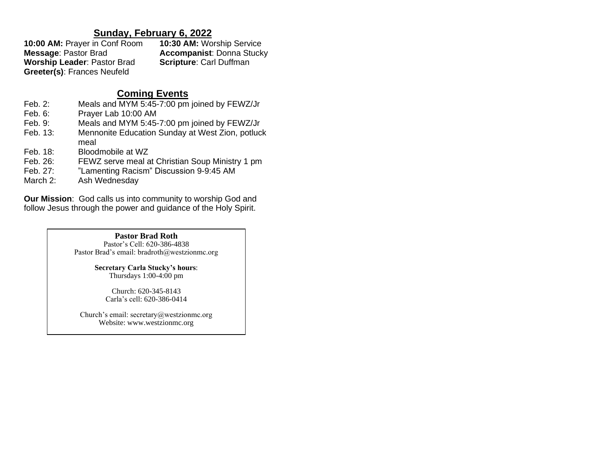# **Sunday, February 6, 2022**

**10:00 AM:** Prayer in Conf Room **10:30 AM:** Worship Service **Message**: Pastor Brad **Accompanist**: Donna Stucky **Worship Leader: Pastor Brad Greeter(s)**: Frances Neufeld

# **Coming Events**

- Feb. 2: Meals and MYM 5:45-7:00 pm joined by FEWZ/Jr
- Feb. 6: Prayer Lab 10:00 AM
- Feb. 9: Meals and MYM 5:45-7:00 pm joined by FEWZ/Jr
- Feb. 13: Mennonite Education Sunday at West Zion, potluck meal
- Feb. 18: Bloodmobile at WZ
- Feb. 26: FEWZ serve meal at Christian Soup Ministry 1 pm
- Feb. 27: "Lamenting Racism" Discussion 9-9:45 AM
- March 2: Ash Wednesday

**Our Mission**: God calls us into community to worship God and follow Jesus through the power and guidance of the Holy Spirit.

#### **Pastor Brad Roth**

Pastor's Cell: 620-386-4838 Pastor Brad's email: bradroth@westzionmc.org

> **Secretary Carla Stucky's hours**: Thursdays 1:00-4:00 pm

Church: 620-345-8143 Carla's cell: 620-386-0414

Church's email: secretary@westzionmc.org Website: www.westzionmc.org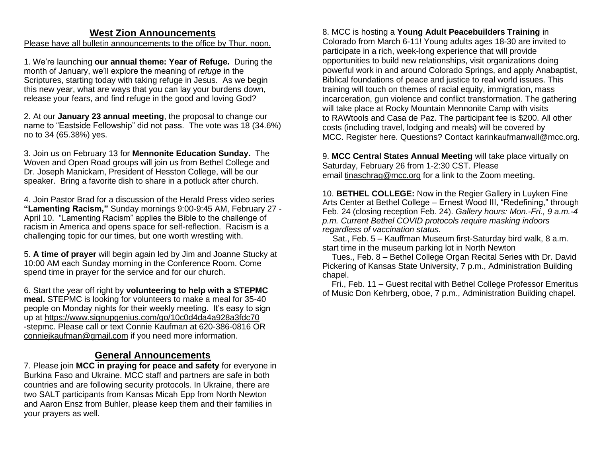# **West Zion Announcements**

### Please have all bulletin announcements to the office by Thur. noon.

1. We're launching **our annual theme: Year of Refuge.** During the month of January, we'll explore the meaning of *refuge* in the Scriptures, starting today with taking refuge in Jesus. As we begin this new year, what are ways that you can lay your burdens down, release your fears, and find refuge in the good and loving God?

2. At our **January 23 annual meeting**, the proposal to change our name to "Eastside Fellowship" did not pass. The vote was 18 (34.6%) no to 34 (65.38%) yes.

3. Join us on February 13 for **Mennonite Education Sunday.** The Woven and Open Road groups will join us from Bethel College and Dr. Joseph Manickam, President of Hesston College, will be our speaker. Bring a favorite dish to share in a potluck after church.

4. Join Pastor Brad for a discussion of the Herald Press video series **"Lamenting Racism,"** Sunday mornings 9:00-9:45 AM, February 27 - April 10. "Lamenting Racism" applies the Bible to the challenge of racism in America and opens space for self-reflection. Racism is a challenging topic for our times, but one worth wrestling with.

5. **A time of prayer** will begin again led by Jim and Joanne Stucky at 10:00 AM each Sunday morning in the Conference Room. Come spend time in prayer for the service and for our church.

6. Start the year off right by **volunteering to help with a STEPMC meal.** STEPMC is looking for volunteers to make a meal for 35-40 people on Monday nights for their weekly meeting. It's easy to sign up at<https://www.signupgenius.com/go/10c0d4da4a928a3fdc70> -stepmc. Please call or text Connie Kaufman at 620-386-0816 OR [conniejkaufman@gmail.com](mailto:conniejkaufman@gmail.com) if you need more information.

# **General Announcements**

7. Please join **MCC in praying for peace and safety** for everyone in Burkina Faso and Ukraine. MCC staff and partners are safe in both countries and are following security protocols. In Ukraine, there are two SALT participants from Kansas Micah Epp from North Newton and Aaron Ensz from Buhler, please keep them and their families in your prayers as well.

8. MCC is hosting a **Young Adult Peacebuilders Training** in Colorado from March 6-11! Young adults ages 18-30 are invited to participate in a rich, week-long experience that will provide opportunities to build new relationships, visit organizations doing powerful work in and around Colorado Springs, and apply Anabaptist, Biblical foundations of peace and justice to real world issues. This training will touch on themes of racial equity, immigration, mass incarceration, gun violence and conflict transformation. The gathering will take place at Rocky Mountain Mennonite Camp with visits to [RAWtools](https://can01.safelinks.protection.outlook.com/?url=https%3A%2F%2Fwww.votervoice.net%2FBroadcastLinks%2Fu6bk8fJOxbt9BxGQgB-29w&data=04%7C01%7Ctinaschrag%40mcc.org%7C3f6c8215671f4d79999a08d9cfc3403c%7C169838f761344f5b8d1ab2d131856f52%7C0%7C0%7C637769259775149665%7CUnknown%7CTWFpbGZsb3d8eyJWIjoiMC4wLjAwMDAiLCJQIjoiV2luMzIiLCJBTiI6Ik1haWwiLCJXVCI6Mn0%3D%7C3000&sdata=j5V06uPrOY2pnsIa3jdaIJEg52AQ5S7f06ckx18wvvQ%3D&reserved=0) and [Casa de Paz.](https://can01.safelinks.protection.outlook.com/?url=https%3A%2F%2Fwww.votervoice.net%2FBroadcastLinks%2FdQ7Bn-EZVPdfzFcS0_lFlQ&data=04%7C01%7Ctinaschrag%40mcc.org%7C3f6c8215671f4d79999a08d9cfc3403c%7C169838f761344f5b8d1ab2d131856f52%7C0%7C0%7C637769259775149665%7CUnknown%7CTWFpbGZsb3d8eyJWIjoiMC4wLjAwMDAiLCJQIjoiV2luMzIiLCJBTiI6Ik1haWwiLCJXVCI6Mn0%3D%7C3000&sdata=W20An17KrKGeERRl21Vvba0%2B%2Bk5IdWX8H1Ba4uRTX60%3D&reserved=0) The participant fee is \$200. All other costs (including travel, lodging and meals) will be covered by MCC. Register [here.](https://can01.safelinks.protection.outlook.com/?url=https%3A%2F%2Fwww.votervoice.net%2FBroadcastLinks%2FAxKofsQvrORO3o8CEzfo4A&data=04%7C01%7Ctinaschrag%40mcc.org%7C3f6c8215671f4d79999a08d9cfc3403c%7C169838f761344f5b8d1ab2d131856f52%7C0%7C0%7C637769259775159614%7CUnknown%7CTWFpbGZsb3d8eyJWIjoiMC4wLjAwMDAiLCJQIjoiV2luMzIiLCJBTiI6Ik1haWwiLCJXVCI6Mn0%3D%7C3000&sdata=CE9ed10WuNjyPpX%2BVoAmyKapxDWznA4izowWCmZ9rcE%3D&reserved=0) Questions? Contact [karinkaufmanwall@mcc.org.](mailto:karinkaufmanwall@mcc.org)

9. **MCC Central States Annual Meeting** will take place virtually on Saturday, February 26 from 1-2:30 CST. Please email [tinaschrag@mcc.org](mailto:tinaschrag@mcc.org) for a link to the Zoom meeting.

10. **BETHEL COLLEGE:** Now in the Regier Gallery in Luyken Fine Arts Center at Bethel College – Ernest Wood III, "Redefining," through Feb. 24 (closing reception Feb. 24). *Gallery hours: Mon.-Fri., 9 a.m.-4 p.m. Current Bethel COVID protocols require masking indoors regardless of vaccination status.*

 Sat., Feb. 5 – Kauffman Museum first-Saturday bird walk, 8 a.m. start time in the museum parking lot in North Newton

 Tues., Feb. 8 – Bethel College Organ Recital Series with Dr. David Pickering of Kansas State University, 7 p.m., Administration Building chapel.

 Fri., Feb. 11 – Guest recital with Bethel College Professor Emeritus of Music Don Kehrberg, oboe, 7 p.m., Administration Building chapel.